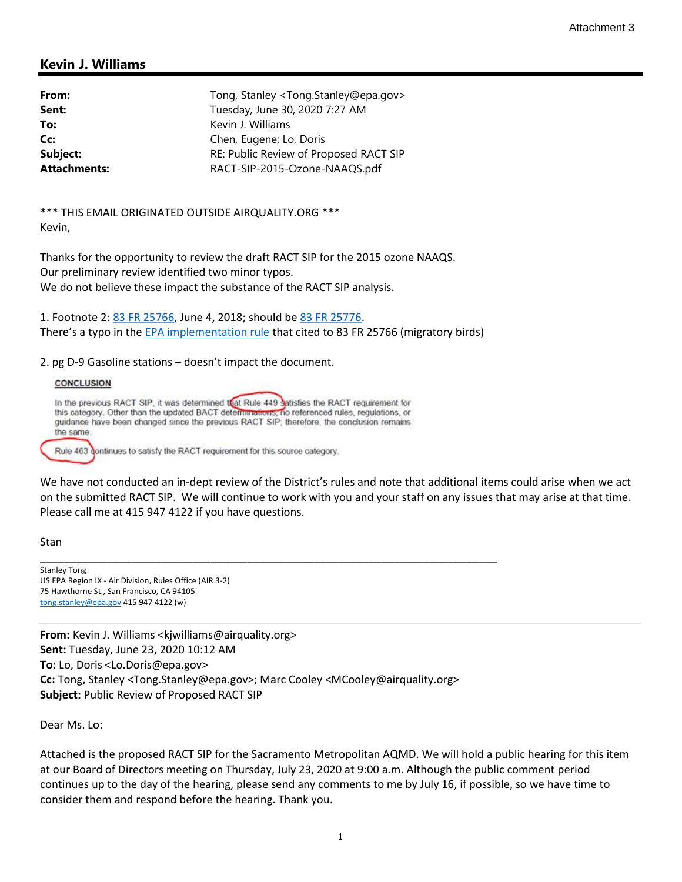## Kevin J. Williams

| From:               | Tong, Stanley <tong.stanley@epa.gov></tong.stanley@epa.gov> |
|---------------------|-------------------------------------------------------------|
| Sent:               | Tuesday, June 30, 2020 7:27 AM                              |
| To:                 | Kevin J. Williams                                           |
| Cc:                 | Chen, Eugene; Lo, Doris                                     |
| Subject:            | RE: Public Review of Proposed RACT SIP                      |
| <b>Attachments:</b> | RACT-SIP-2015-Ozone-NAAQS.pdf                               |

\*\*\* THIS EMAIL ORIGINATED OUTSIDE AIRQUALITY.ORG \*\*\* Kevin,

Thanks for the opportunity to review the draft RACT SIP for the 2015 ozone NAAQS. Our preliminary review identified two minor typos. We do not believe these impact the substance of the RACT SIP analysis.

1. Footnote 2: 83 FR 25766, June 4, 2018; should be 83 FR 25776. There's a typo in the EPA implementation rule that cited to 83 FR 25766 (migratory birds)

2. pg D-9 Gasoline stations – doesn't impact the document.

## **CONCLUSION**

In the previous RACT SIP, it was determined that Rule 449 satisfies the RACT requirement for this category. Other than the updated BACT determinations, no referenced rules, regulations, or guidance have been changed since the previous RACT SIP; therefore, the conclusion remains the same. Rule 463 continues to satisfy the RACT requirement for this source category.

We have not conducted an in-dept review of the District's rules and note that additional items could arise when we act on the submitted RACT SIP. We will continue to work with you and your staff on any issues that may arise at that time. Please call me at 415 947 4122 if you have questions.

Stan

Stanley Tong US EPA Region IX - Air Division, Rules Office (AIR 3-2) 75 Hawthorne St., San Francisco, CA 94105 tong.stanley@epa.gov 415 947 4122 (w)

From: Kevin J. Williams <kjwilliams@airquality.org> Sent: Tuesday, June 23, 2020 10:12 AM To: Lo, Doris <Lo.Doris@epa.gov> Cc: Tong, Stanley <Tong.Stanley@epa.gov>; Marc Cooley <MCooley@airquality.org> Subject: Public Review of Proposed RACT SIP

\_\_\_\_\_\_\_\_\_\_\_\_\_\_\_\_\_\_\_\_\_\_\_\_\_\_\_\_\_\_\_\_\_\_\_\_\_\_\_\_\_\_\_\_\_\_\_\_\_\_\_\_\_\_\_\_\_\_\_\_\_\_\_\_\_\_\_\_\_\_\_\_\_\_\_

Dear Ms. Lo:

Attached is the proposed RACT SIP for the Sacramento Metropolitan AQMD. We will hold a public hearing for this item at our Board of Directors meeting on Thursday, July 23, 2020 at 9:00 a.m. Although the public comment period continues up to the day of the hearing, please send any comments to me by July 16, if possible, so we have time to consider them and respond before the hearing. Thank you.